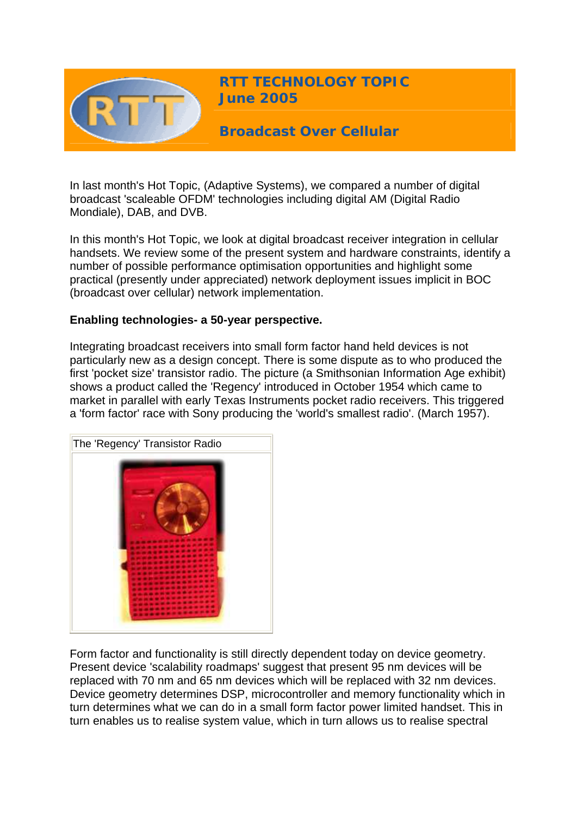

In last month's Hot Topic, (Adaptive Systems), we compared a number of digital broadcast 'scaleable OFDM' technologies including digital AM (Digital Radio Mondiale), DAB, and DVB.

In this month's Hot Topic, we look at digital broadcast receiver integration in cellular handsets. We review some of the present system and hardware constraints, identify a number of possible performance optimisation opportunities and highlight some practical (presently under appreciated) network deployment issues implicit in BOC (broadcast over cellular) network implementation.

## **Enabling technologies- a 50-year perspective.**

Integrating broadcast receivers into small form factor hand held devices is not particularly new as a design concept. There is some dispute as to who produced the first 'pocket size' transistor radio. The picture (a Smithsonian Information Age exhibit) shows a product called the 'Regency' introduced in October 1954 which came to market in parallel with early Texas Instruments pocket radio receivers. This triggered a 'form factor' race with Sony producing the 'world's smallest radio'. (March 1957).



Form factor and functionality is still directly dependent today on device geometry. Present device 'scalability roadmaps' suggest that present 95 nm devices will be replaced with 70 nm and 65 nm devices which will be replaced with 32 nm devices. Device geometry determines DSP, microcontroller and memory functionality which in turn determines what we can do in a small form factor power limited handset. This in turn enables us to realise system value, which in turn allows us to realise spectral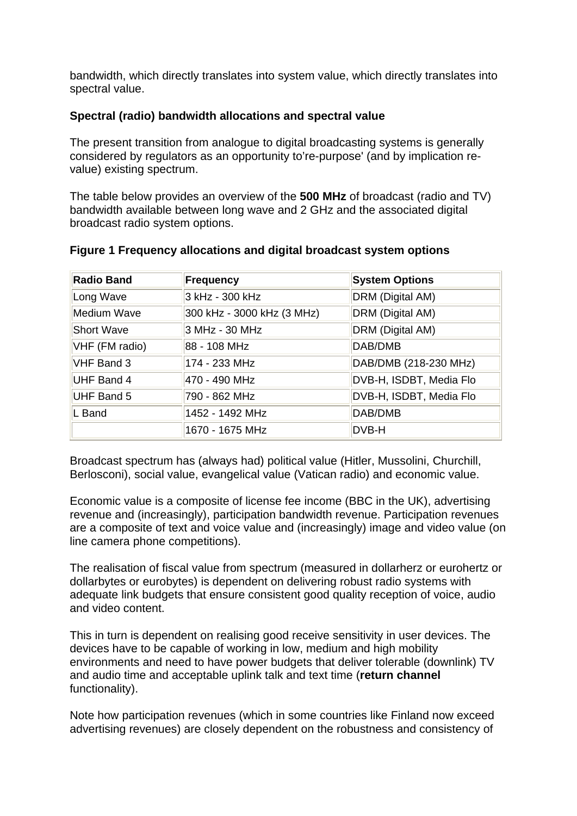bandwidth, which directly translates into system value, which directly translates into spectral value.

## **Spectral (radio) bandwidth allocations and spectral value**

The present transition from analogue to digital broadcasting systems is generally considered by regulators as an opportunity to're-purpose' (and by implication revalue) existing spectrum.

The table below provides an overview of the **500 MHz** of broadcast (radio and TV) bandwidth available between long wave and 2 GHz and the associated digital broadcast radio system options.

| <b>Radio Band</b> | Frequency                  | <b>System Options</b>   |
|-------------------|----------------------------|-------------------------|
| Long Wave         | 3 kHz - 300 kHz            | DRM (Digital AM)        |
| Medium Wave       | 300 kHz - 3000 kHz (3 MHz) | DRM (Digital AM)        |
| <b>Short Wave</b> | 3 MHz - 30 MHz             | DRM (Digital AM)        |
| VHF (FM radio)    | 88 - 108 MHz               | DAB/DMB                 |
| VHF Band 3        | 174 - 233 MHz              | DAB/DMB (218-230 MHz)   |
| UHF Band 4        | 470 - 490 MHz              | DVB-H, ISDBT, Media Flo |
| <b>UHF Band 5</b> | 790 - 862 MHz              | DVB-H, ISDBT, Media Flo |
| L Band            | 1452 - 1492 MHz            | DAB/DMB                 |
|                   | 1670 - 1675 MHz            | DVB-H                   |

### **Figure 1 Frequency allocations and digital broadcast system options**

Broadcast spectrum has (always had) political value (Hitler, Mussolini, Churchill, Berlosconi), social value, evangelical value (Vatican radio) and economic value.

Economic value is a composite of license fee income (BBC in the UK), advertising revenue and (increasingly), participation bandwidth revenue. Participation revenues are a composite of text and voice value and (increasingly) image and video value (on line camera phone competitions).

The realisation of fiscal value from spectrum (measured in dollarherz or eurohertz or dollarbytes or eurobytes) is dependent on delivering robust radio systems with adequate link budgets that ensure consistent good quality reception of voice, audio and video content.

This in turn is dependent on realising good receive sensitivity in user devices. The devices have to be capable of working in low, medium and high mobility environments and need to have power budgets that deliver tolerable (downlink) TV and audio time and acceptable uplink talk and text time (**return channel**  functionality).

Note how participation revenues (which in some countries like Finland now exceed advertising revenues) are closely dependent on the robustness and consistency of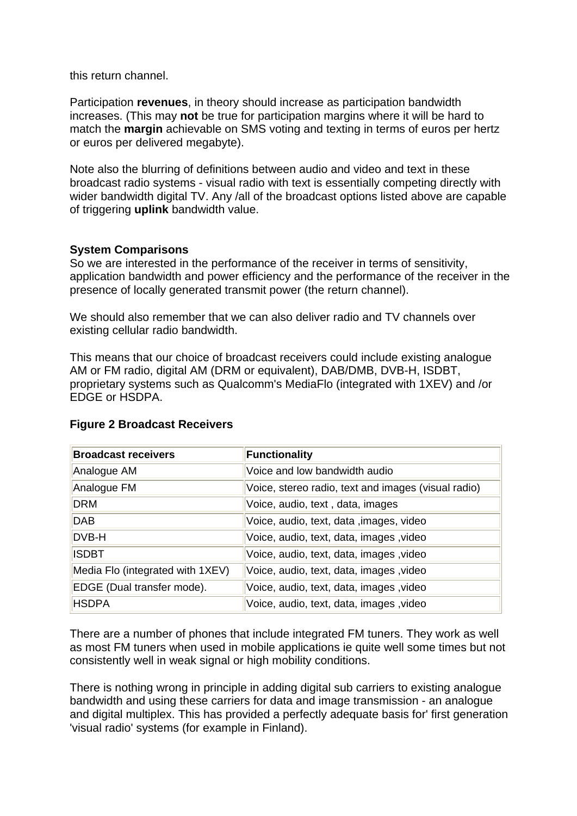this return channel.

Participation **revenues**, in theory should increase as participation bandwidth increases. (This may **not** be true for participation margins where it will be hard to match the **margin** achievable on SMS voting and texting in terms of euros per hertz or euros per delivered megabyte).

Note also the blurring of definitions between audio and video and text in these broadcast radio systems - visual radio with text is essentially competing directly with wider bandwidth digital TV. Any /all of the broadcast options listed above are capable of triggering **uplink** bandwidth value.

## **System Comparisons**

So we are interested in the performance of the receiver in terms of sensitivity, application bandwidth and power efficiency and the performance of the receiver in the presence of locally generated transmit power (the return channel).

We should also remember that we can also deliver radio and TV channels over existing cellular radio bandwidth.

This means that our choice of broadcast receivers could include existing analogue AM or FM radio, digital AM (DRM or equivalent), DAB/DMB, DVB-H, ISDBT, proprietary systems such as Qualcomm's MediaFlo (integrated with 1XEV) and /or EDGE or HSDPA.

| <b>Broadcast receivers</b>       | <b>Functionality</b>                                |
|----------------------------------|-----------------------------------------------------|
| Analogue AM                      | Voice and low bandwidth audio                       |
| Analogue FM                      | Voice, stereo radio, text and images (visual radio) |
| <b>DRM</b>                       | Voice, audio, text, data, images                    |
| <b>DAB</b>                       | Voice, audio, text, data, images, video             |
| DVB-H                            | Voice, audio, text, data, images, video             |
| <b>ISDBT</b>                     | Voice, audio, text, data, images, video             |
| Media Flo (integrated with 1XEV) | Voice, audio, text, data, images, video             |
| EDGE (Dual transfer mode).       | Voice, audio, text, data, images, video             |
| <b>HSDPA</b>                     | Voice, audio, text, data, images, video             |

### **Figure 2 Broadcast Receivers**

There are a number of phones that include integrated FM tuners. They work as well as most FM tuners when used in mobile applications ie quite well some times but not consistently well in weak signal or high mobility conditions.

There is nothing wrong in principle in adding digital sub carriers to existing analogue bandwidth and using these carriers for data and image transmission - an analogue and digital multiplex. This has provided a perfectly adequate basis for' first generation 'visual radio' systems (for example in Finland).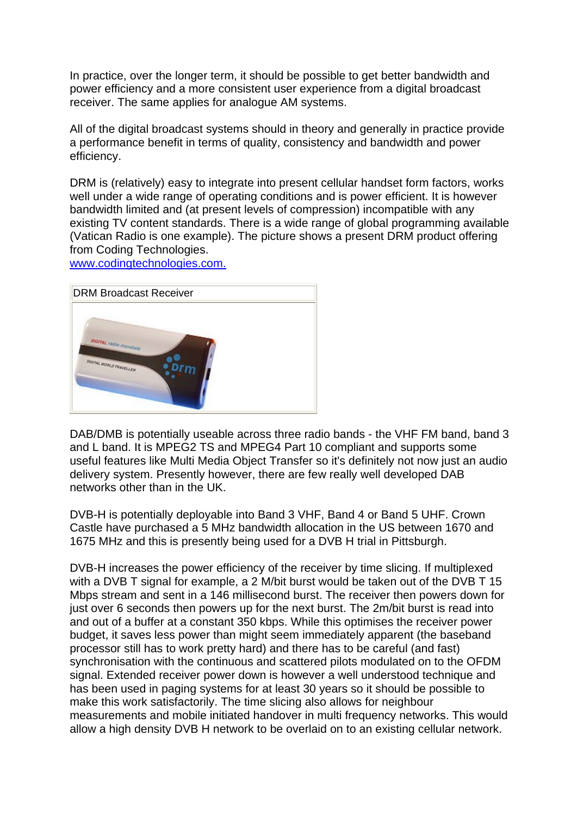In practice, over the longer term, it should be possible to get better bandwidth and power efficiency and a more consistent user experience from a digital broadcast receiver. The same applies for analogue AM systems.

All of the digital broadcast systems should in theory and generally in practice provide a performance benefit in terms of quality, consistency and bandwidth and power efficiency.

DRM is (relatively) easy to integrate into present cellular handset form factors, works well under a wide range of operating conditions and is power efficient. It is however bandwidth limited and (at present levels of compression) incompatible with any existing TV content standards. There is a wide range of global programming available (Vatican Radio is one example). The picture shows a present DRM product offering from Coding Technologies.

[www.codingtechnologies.com.](http://www.codingtechnologies.com/)



DAB/DMB is potentially useable across three radio bands - the VHF FM band, band 3 and L band. It is MPEG2 TS and MPEG4 Part 10 compliant and supports some useful features like Multi Media Object Transfer so it's definitely not now just an audio delivery system. Presently however, there are few really well developed DAB networks other than in the UK.

DVB-H is potentially deployable into Band 3 VHF, Band 4 or Band 5 UHF. Crown Castle have purchased a 5 MHz bandwidth allocation in the US between 1670 and 1675 MHz and this is presently being used for a DVB H trial in Pittsburgh.

DVB-H increases the power efficiency of the receiver by time slicing. If multiplexed with a DVB T signal for example, a 2 M/bit burst would be taken out of the DVB T 15 Mbps stream and sent in a 146 millisecond burst. The receiver then powers down for just over 6 seconds then powers up for the next burst. The 2m/bit burst is read into and out of a buffer at a constant 350 kbps. While this optimises the receiver power budget, it saves less power than might seem immediately apparent (the baseband processor still has to work pretty hard) and there has to be careful (and fast) synchronisation with the continuous and scattered pilots modulated on to the OFDM signal. Extended receiver power down is however a well understood technique and has been used in paging systems for at least 30 years so it should be possible to make this work satisfactorily. The time slicing also allows for neighbour measurements and mobile initiated handover in multi frequency networks. This would allow a high density DVB H network to be overlaid on to an existing cellular network.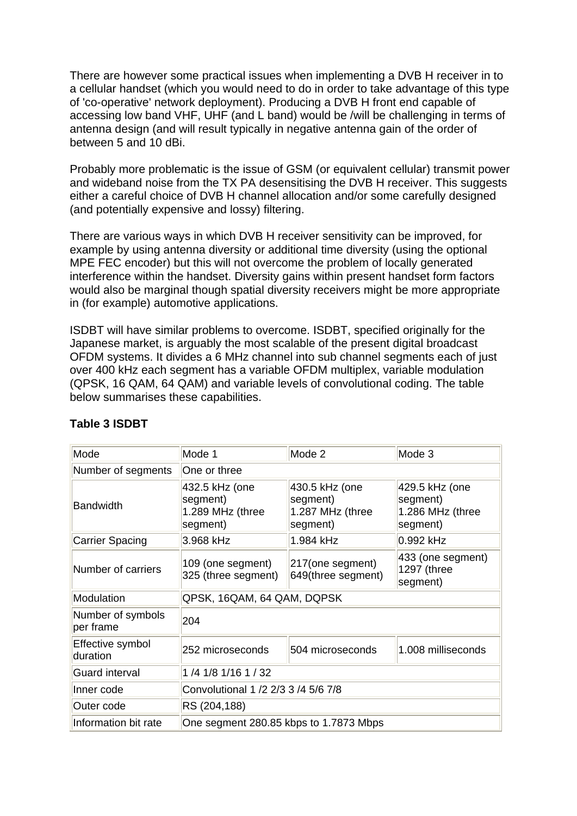There are however some practical issues when implementing a DVB H receiver in to a cellular handset (which you would need to do in order to take advantage of this type of 'co-operative' network deployment). Producing a DVB H front end capable of accessing low band VHF, UHF (and L band) would be /will be challenging in terms of antenna design (and will result typically in negative antenna gain of the order of between 5 and 10 dBi.

Probably more problematic is the issue of GSM (or equivalent cellular) transmit power and wideband noise from the TX PA desensitising the DVB H receiver. This suggests either a careful choice of DVB H channel allocation and/or some carefully designed (and potentially expensive and lossy) filtering.

There are various ways in which DVB H receiver sensitivity can be improved, for example by using antenna diversity or additional time diversity (using the optional MPE FEC encoder) but this will not overcome the problem of locally generated interference within the handset. Diversity gains within present handset form factors would also be marginal though spatial diversity receivers might be more appropriate in (for example) automotive applications.

ISDBT will have similar problems to overcome. ISDBT, specified originally for the Japanese market, is arguably the most scalable of the present digital broadcast OFDM systems. It divides a 6 MHz channel into sub channel segments each of just over 400 kHz each segment has a variable OFDM multiplex, variable modulation (QPSK, 16 QAM, 64 QAM) and variable levels of convolutional coding. The table below summarises these capabilities.

| Mode                           | Mode 1                                                     | Mode 2                                                     | Mode 3                                                     |
|--------------------------------|------------------------------------------------------------|------------------------------------------------------------|------------------------------------------------------------|
| Number of segments             | One or three                                               |                                                            |                                                            |
| <b>Bandwidth</b>               | 432.5 kHz (one<br>segment)<br>1.289 MHz (three<br>segment) | 430.5 kHz (one<br>segment)<br>1.287 MHz (three<br>segment) | 429.5 kHz (one<br>segment)<br>1.286 MHz (three<br>segment) |
| <b>Carrier Spacing</b>         | 3.968 kHz                                                  | 1.984 kHz                                                  | 0.992 kHz                                                  |
| Number of carriers             | 109 (one segment)<br>325 (three segment)                   | 217(one segment)<br>649(three segment)                     | $ 433 $ (one segment)<br>1297 (three<br>segment)           |
| Modulation                     | QPSK, 16QAM, 64 QAM, DQPSK                                 |                                                            |                                                            |
| Number of symbols<br>per frame | 204                                                        |                                                            |                                                            |
| Effective symbol<br>duration   | 252 microseconds                                           | 504 microseconds                                           | 1.008 milliseconds                                         |
| <b>Guard interval</b>          | 1 /4 1/8 1/16 1 / 32                                       |                                                            |                                                            |
| Inner code                     | Convolutional 1 /2 2/3 3 /4 5/6 7/8                        |                                                            |                                                            |
| Outer code                     | RS (204,188)                                               |                                                            |                                                            |
| Information bit rate           | One segment 280.85 kbps to 1.7873 Mbps                     |                                                            |                                                            |

# **Table 3 ISDBT**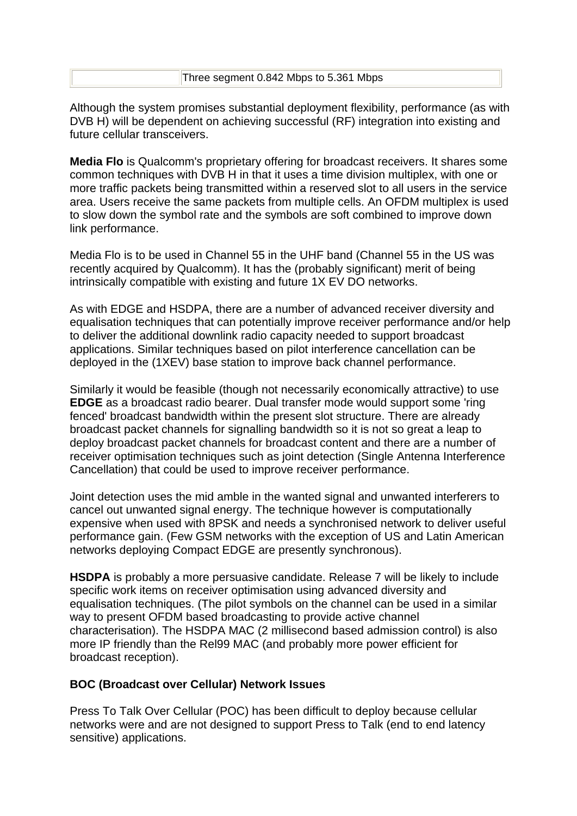|  |  | Three segment 0.842 Mbps to 5.361 Mbps |
|--|--|----------------------------------------|
|--|--|----------------------------------------|

Although the system promises substantial deployment flexibility, performance (as with DVB H) will be dependent on achieving successful (RF) integration into existing and future cellular transceivers.

**Media Flo** is Qualcomm's proprietary offering for broadcast receivers. It shares some common techniques with DVB H in that it uses a time division multiplex, with one or more traffic packets being transmitted within a reserved slot to all users in the service area. Users receive the same packets from multiple cells. An OFDM multiplex is used to slow down the symbol rate and the symbols are soft combined to improve down link performance.

Media Flo is to be used in Channel 55 in the UHF band (Channel 55 in the US was recently acquired by Qualcomm). It has the (probably significant) merit of being intrinsically compatible with existing and future 1X EV DO networks.

As with EDGE and HSDPA, there are a number of advanced receiver diversity and equalisation techniques that can potentially improve receiver performance and/or help to deliver the additional downlink radio capacity needed to support broadcast applications. Similar techniques based on pilot interference cancellation can be deployed in the (1XEV) base station to improve back channel performance.

Similarly it would be feasible (though not necessarily economically attractive) to use **EDGE** as a broadcast radio bearer. Dual transfer mode would support some 'ring fenced' broadcast bandwidth within the present slot structure. There are already broadcast packet channels for signalling bandwidth so it is not so great a leap to deploy broadcast packet channels for broadcast content and there are a number of receiver optimisation techniques such as joint detection (Single Antenna Interference Cancellation) that could be used to improve receiver performance.

Joint detection uses the mid amble in the wanted signal and unwanted interferers to cancel out unwanted signal energy. The technique however is computationally expensive when used with 8PSK and needs a synchronised network to deliver useful performance gain. (Few GSM networks with the exception of US and Latin American networks deploying Compact EDGE are presently synchronous).

**HSDPA** is probably a more persuasive candidate. Release 7 will be likely to include specific work items on receiver optimisation using advanced diversity and equalisation techniques. (The pilot symbols on the channel can be used in a similar way to present OFDM based broadcasting to provide active channel characterisation). The HSDPA MAC (2 millisecond based admission control) is also more IP friendly than the Rel99 MAC (and probably more power efficient for broadcast reception).

### **BOC (Broadcast over Cellular) Network Issues**

Press To Talk Over Cellular (POC) has been difficult to deploy because cellular networks were and are not designed to support Press to Talk (end to end latency sensitive) applications.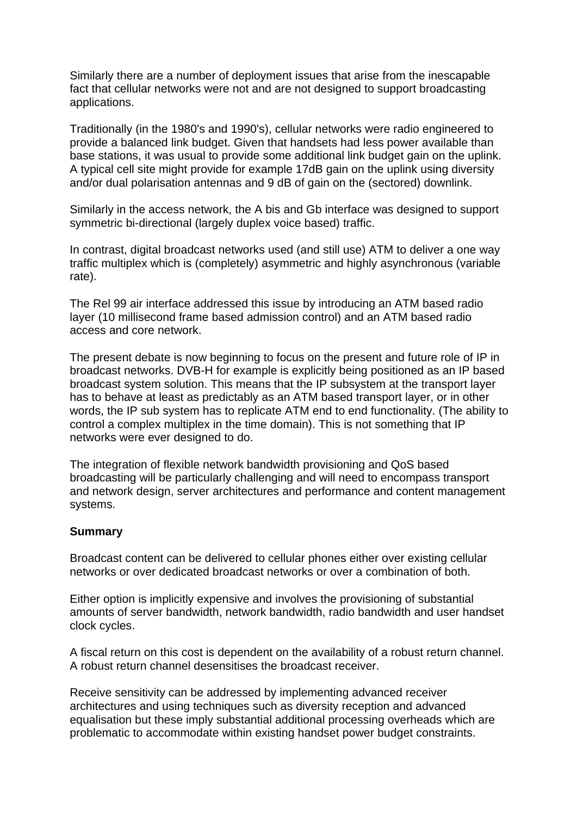Similarly there are a number of deployment issues that arise from the inescapable fact that cellular networks were not and are not designed to support broadcasting applications.

Traditionally (in the 1980's and 1990's), cellular networks were radio engineered to provide a balanced link budget. Given that handsets had less power available than base stations, it was usual to provide some additional link budget gain on the uplink. A typical cell site might provide for example 17dB gain on the uplink using diversity and/or dual polarisation antennas and 9 dB of gain on the (sectored) downlink.

Similarly in the access network, the A bis and Gb interface was designed to support symmetric bi-directional (largely duplex voice based) traffic.

In contrast, digital broadcast networks used (and still use) ATM to deliver a one way traffic multiplex which is (completely) asymmetric and highly asynchronous (variable rate).

The Rel 99 air interface addressed this issue by introducing an ATM based radio layer (10 millisecond frame based admission control) and an ATM based radio access and core network.

The present debate is now beginning to focus on the present and future role of IP in broadcast networks. DVB-H for example is explicitly being positioned as an IP based broadcast system solution. This means that the IP subsystem at the transport layer has to behave at least as predictably as an ATM based transport layer, or in other words, the IP sub system has to replicate ATM end to end functionality. (The ability to control a complex multiplex in the time domain). This is not something that IP networks were ever designed to do.

The integration of flexible network bandwidth provisioning and QoS based broadcasting will be particularly challenging and will need to encompass transport and network design, server architectures and performance and content management systems.

### **Summary**

Broadcast content can be delivered to cellular phones either over existing cellular networks or over dedicated broadcast networks or over a combination of both.

Either option is implicitly expensive and involves the provisioning of substantial amounts of server bandwidth, network bandwidth, radio bandwidth and user handset clock cycles.

A fiscal return on this cost is dependent on the availability of a robust return channel. A robust return channel desensitises the broadcast receiver.

Receive sensitivity can be addressed by implementing advanced receiver architectures and using techniques such as diversity reception and advanced equalisation but these imply substantial additional processing overheads which are problematic to accommodate within existing handset power budget constraints.